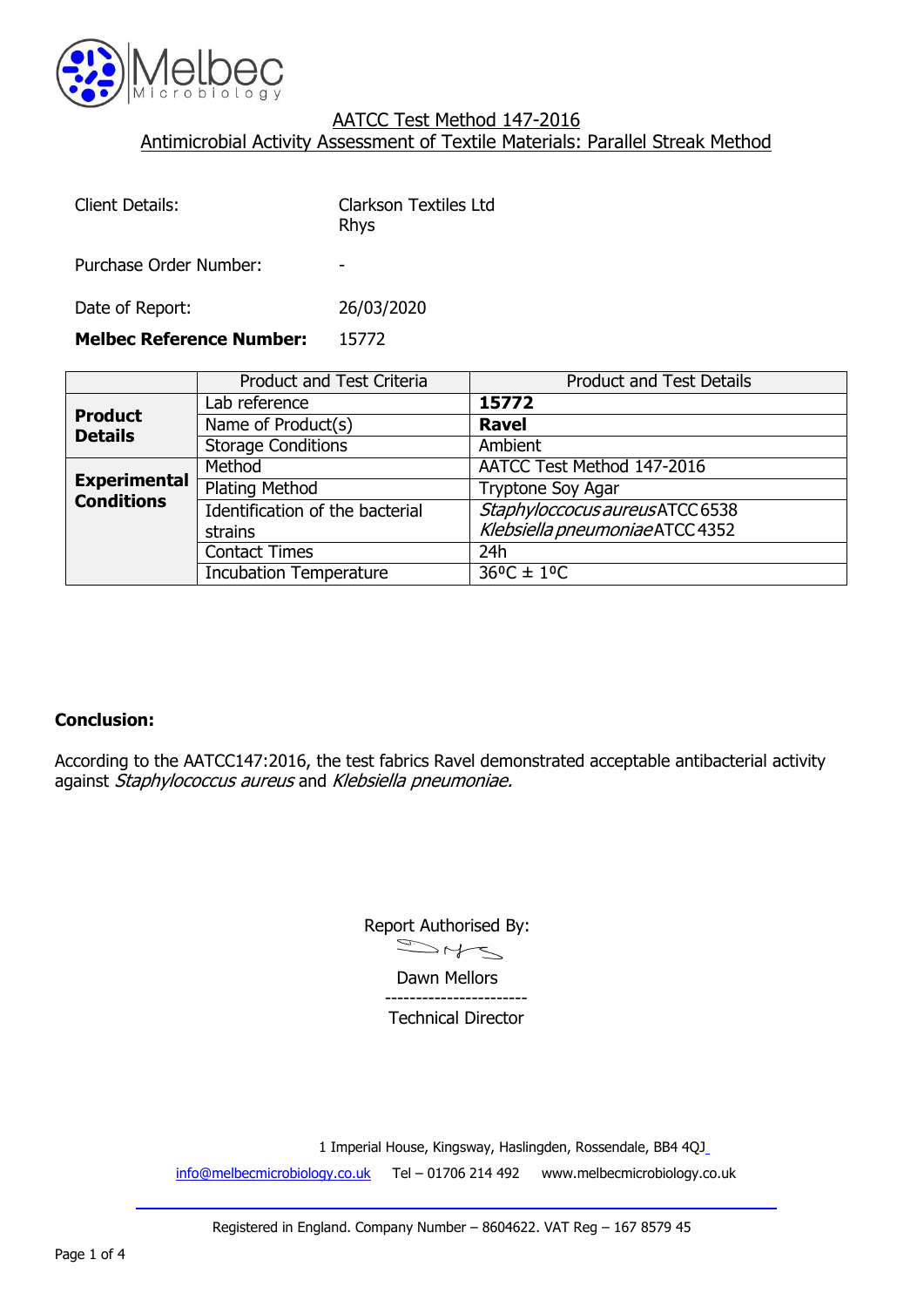

| Client Details:                 | Clarkson Textiles Ltd<br><b>Rhys</b> |
|---------------------------------|--------------------------------------|
| Purchase Order Number:          |                                      |
| Date of Report:                 | 26/03/2020                           |
| <b>Melbec Reference Number:</b> | 15772                                |

|                                  | Product and Test Criteria       | <b>Product and Test Details</b> |  |
|----------------------------------|---------------------------------|---------------------------------|--|
| <b>Product</b><br><b>Details</b> | Lab reference                   | 15772                           |  |
|                                  | Name of Product(s)              | <b>Ravel</b>                    |  |
|                                  | <b>Storage Conditions</b>       | Ambient                         |  |
| <b>Experimental</b>              | Method                          | AATCC Test Method 147-2016      |  |
|                                  | <b>Plating Method</b>           | Tryptone Soy Agar               |  |
| <b>Conditions</b>                | Identification of the bacterial | Staphyloccocus aureus ATCC 6538 |  |
|                                  | strains                         | Klebsiella pneumoniae ATCC 4352 |  |
|                                  | <b>Contact Times</b>            | 24h                             |  |
|                                  | <b>Incubation Temperature</b>   | $36^{\circ}$ C ± 1°C            |  |

## **Conclusion:**

According to the AATCC147:2016, the test fabrics Ravel demonstrated acceptable antibacterial activity against Staphylococcus aureus and Klebsiella pneumoniae.

Report Authorised By:

Dawn Mellors

Technical Director

-----------------------

1 Imperial House, Kingsway, Haslingden, Rossendale, BB4 4QJ

[info@melbecmicrobiology.co.uk](mailto:info@melbecmicrobiology.co.uk) Tel – 01706 214 492 [www.melbecmicrobiology.co.uk](http://www.melbecmicrobiology.co.uk/)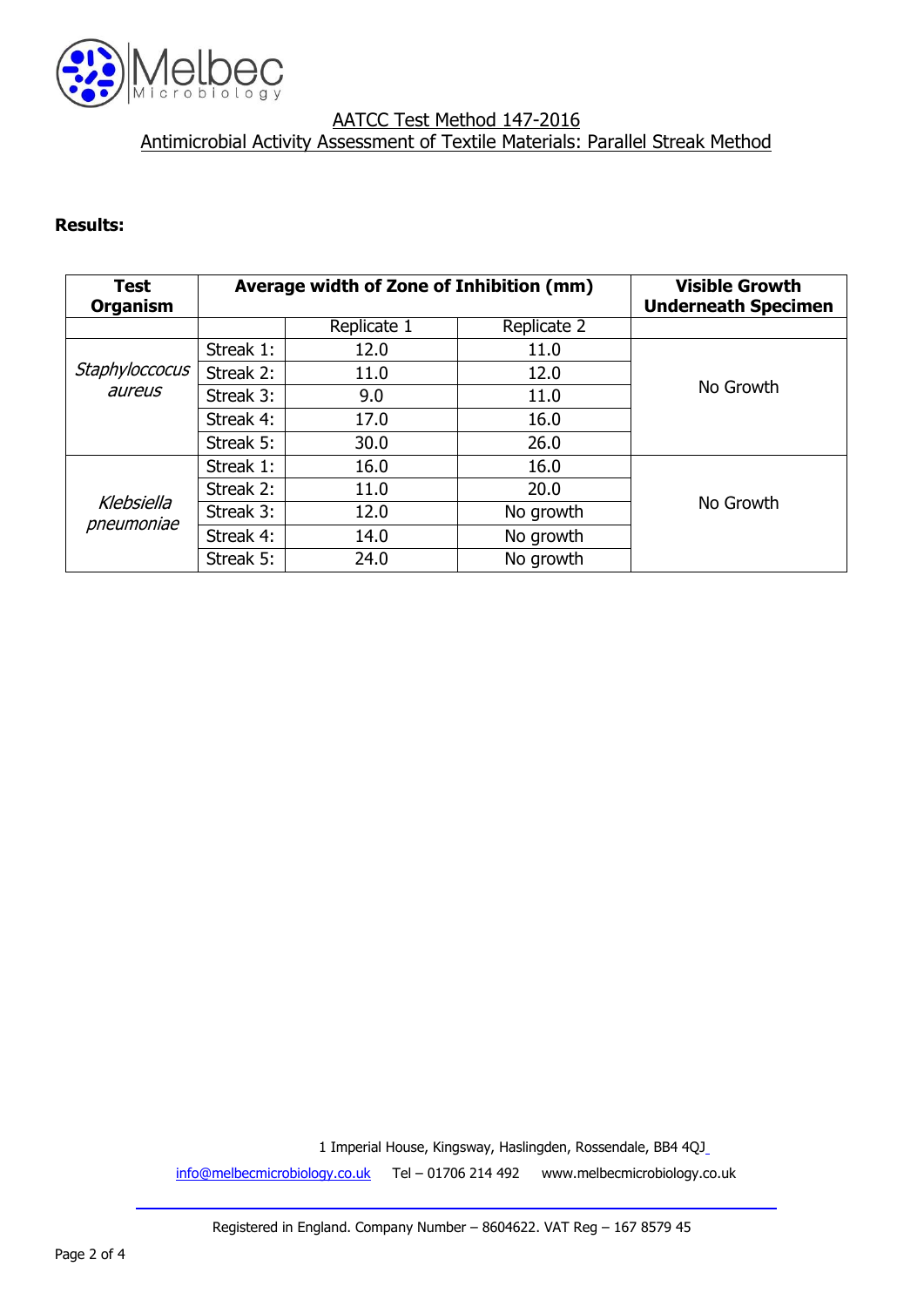

#### **Results:**

| <b>Test</b><br><b>Organism</b> | Average width of Zone of Inhibition (mm) |             | <b>Visible Growth</b><br><b>Underneath Specimen</b> |           |
|--------------------------------|------------------------------------------|-------------|-----------------------------------------------------|-----------|
|                                |                                          | Replicate 1 | Replicate 2                                         |           |
|                                | Streak 1:                                | 12.0        | 11.0                                                |           |
| Staphyloccocus                 | Streak 2:                                | 11.0        | 12.0                                                |           |
| aureus                         | Streak 3:                                | 9.0         | 11.0                                                | No Growth |
|                                | Streak 4:                                | 17.0        | 16.0                                                |           |
|                                | Streak 5:                                | 30.0        | 26.0                                                |           |
|                                | Streak 1:                                | 16.0        | 16.0                                                |           |
| Klebsiella<br>pneumoniae       | Streak 2:                                | 11.0        | 20.0                                                | No Growth |
|                                | Streak 3:                                | 12.0        | No growth                                           |           |
|                                | Streak 4:                                | 14.0        | No growth                                           |           |
|                                | Streak 5:                                | 24.0        | No growth                                           |           |

1 Imperial House, Kingsway, Haslingden, Rossendale, BB4 4QJ

[info@melbecmicrobiology.co.uk](mailto:info@melbecmicrobiology.co.uk) Tel – 01706 214 492 [www.melbecmicrobiology.co.uk](http://www.melbecmicrobiology.co.uk/)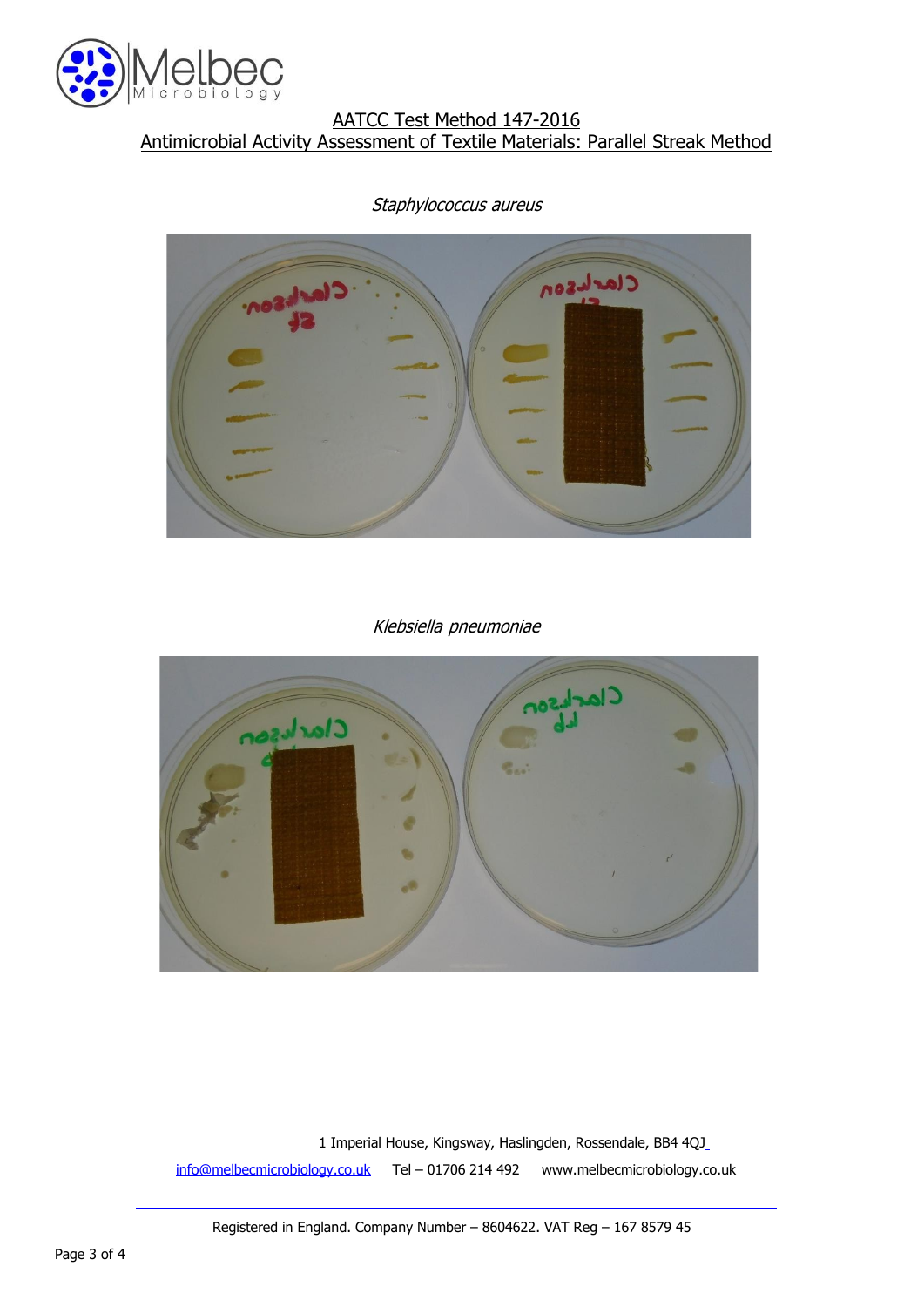



Staphylococcus aureus

Klebsiella pneumoniae



1 Imperial House, Kingsway, Haslingden, Rossendale, BB4 4QJ [info@melbecmicrobiology.co.uk](mailto:info@melbecmicrobiology.co.uk) Tel – 01706 214 492 [www.melbecmicrobiology.co.uk](http://www.melbecmicrobiology.co.uk/)